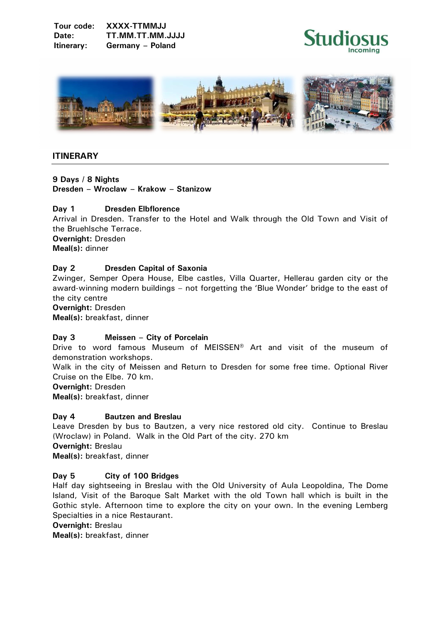



# **ITINERARY**

**9 Days / 8 Nights Dresden – Wroclaw – Krakow – Stanizow** 

## **Day 1 Dresden Elbflorence**

Arrival in Dresden. Transfer to the Hotel and Walk through the Old Town and Visit of the Bruehlsche Terrace.

**Overnight:** Dresden **Meal(s):** dinner

# **Day 2 Dresden Capital of Saxonia**

Zwinger, Semper Opera House, Elbe castles, Villa Quarter, Hellerau garden city or the award-winning modern buildings – not forgetting the 'Blue Wonder' bridge to the east of the city centre

**Overnight:** Dresden

**Meal(s):** breakfast, dinner

## **Day 3 Meissen – City of Porcelain**

Drive to word famous Museum of MEISSEN® Art and visit of the museum of demonstration workshops.

Walk in the city of Meissen and Return to Dresden for some free time. Optional River Cruise on the Elbe. 70 km.

**Overnight:** Dresden

**Meal(s):** breakfast, dinner

## **Day 4 Bautzen and Breslau**

Leave Dresden by bus to Bautzen, a very nice restored old city. Continue to Breslau (Wroclaw) in Poland. Walk in the Old Part of the city. 270 km **Overnight:** Breslau **Meal(s):** breakfast, dinner

## **Day 5 City of 100 Bridges**

Half day sightseeing in Breslau with the Old University of Aula Leopoldina, The Dome Island, Visit of the Baroque Salt Market with the old Town hall which is built in the Gothic style. Afternoon time to explore the city on your own. In the evening Lemberg Specialties in a nice Restaurant.

```
Overnight: Breslau
```
**Meal(s):** breakfast, dinner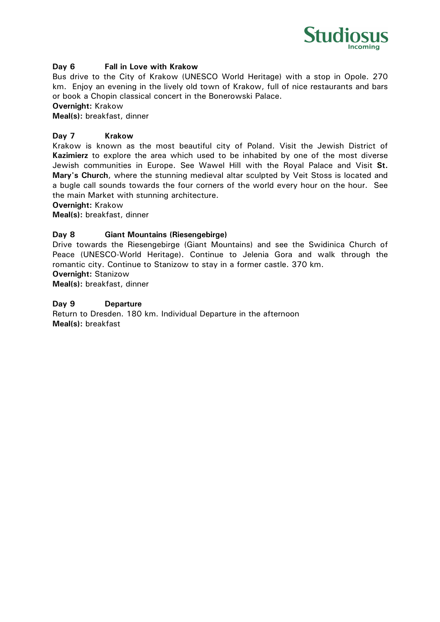

## **Day 6 Fall in Love with Krakow**

Bus drive to the City of Krakow (UNESCO World Heritage) with a stop in Opole. 270 km. Enjoy an evening in the lively old town of Krakow, full of nice restaurants and bars or book a Chopin classical concert in the Bonerowski Palace.

**Overnight:** Krakow

**Meal(s):** breakfast, dinner

#### **Day 7 Krakow**

Krakow is known as the most beautiful city of Poland. Visit the Jewish District of **Kazimierz** to explore the area which used to be inhabited by one of the most diverse Jewish communities in Europe. See Wawel Hill with the Royal Palace and Visit **St. Mary's Church**, where the stunning medieval altar sculpted by Veit Stoss is located and a bugle call sounds towards the four corners of the world every hour on the hour. See the main Market with stunning architecture.

**Overnight:** Krakow

**Meal(s):** breakfast, dinner

#### **Day 8 Giant Mountains (Riesengebirge)**

Drive towards the Riesengebirge (Giant Mountains) and see the Swidinica Church of Peace (UNESCO-World Heritage). Continue to Jelenia Gora and walk through the romantic city. Continue to Stanizow to stay in a former castle. 370 km.

**Overnight:** Stanizow

**Meal(s):** breakfast, dinner

#### **Day 9 Departure**

Return to Dresden. 180 km. Individual Departure in the afternoon **Meal(s):** breakfast